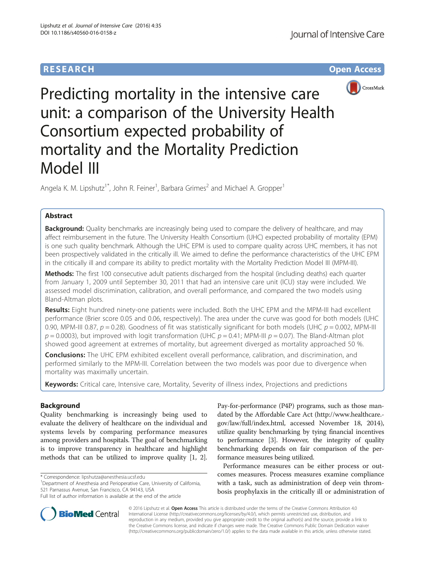## **RESEARCH CHE Open Access**



Predicting mortality in the intensive care unit: a comparison of the University Health Consortium expected probability of mortality and the Mortality Prediction Model III

Angela K. M. Lipshutz<sup>1\*</sup>, John R. Feiner<sup>1</sup>, Barbara Grimes<sup>2</sup> and Michael A. Gropper<sup>1</sup>

## Abstract

**Background:** Quality benchmarks are increasingly being used to compare the delivery of healthcare, and may affect reimbursement in the future. The University Health Consortium (UHC) expected probability of mortality (EPM) is one such quality benchmark. Although the UHC EPM is used to compare quality across UHC members, it has not been prospectively validated in the critically ill. We aimed to define the performance characteristics of the UHC EPM in the critically ill and compare its ability to predict mortality with the Mortality Prediction Model III (MPM-III).

Methods: The first 100 consecutive adult patients discharged from the hospital (including deaths) each quarter from January 1, 2009 until September 30, 2011 that had an intensive care unit (ICU) stay were included. We assessed model discrimination, calibration, and overall performance, and compared the two models using Bland-Altman plots.

Results: Eight hundred ninety-one patients were included. Both the UHC EPM and the MPM-III had excellent performance (Brier score 0.05 and 0.06, respectively). The area under the curve was good for both models (UHC 0.90, MPM-III 0.87,  $p = 0.28$ ). Goodness of fit was statistically significant for both models (UHC  $p = 0.002$ , MPM-III  $p = 0.0003$ ), but improved with logit transformation (UHC  $p = 0.41$ ; MPM-III  $p = 0.07$ ). The Bland-Altman plot showed good agreement at extremes of mortality, but agreement diverged as mortality approached 50 %.

**Conclusions:** The UHC EPM exhibited excellent overall performance, calibration, and discrimination, and performed similarly to the MPM-III. Correlation between the two models was poor due to divergence when mortality was maximally uncertain.

Keywords: Critical care, Intensive care, Mortality, Severity of illness index, Projections and predictions

### Background

Quality benchmarking is increasingly being used to evaluate the delivery of healthcare on the individual and systems levels by comparing performance measures among providers and hospitals. The goal of benchmarking is to improve transparency in healthcare and highlight methods that can be utilized to improve quality [[1, 2](#page-7-0)].

<sup>1</sup>Department of Anesthesia and Perioperative Care, University of California, 521 Parnassus Avenue, San Francisco, CA 94143, USA



Performance measures can be either process or outcomes measures. Process measures examine compliance with a task, such as administration of deep vein thrombosis prophylaxis in the critically ill or administration of

© 2016 Lipshutz et al. Open Access This article is distributed under the terms of the Creative Commons Attribution 4.0 International License [\(http://creativecommons.org/licenses/by/4.0/](http://creativecommons.org/licenses/by/4.0/)), which permits unrestricted use, distribution, and reproduction in any medium, provided you give appropriate credit to the original author(s) and the source, provide a link to the Creative Commons license, and indicate if changes were made. The Creative Commons Public Domain Dedication waiver [\(http://creativecommons.org/publicdomain/zero/1.0/](http://creativecommons.org/publicdomain/zero/1.0/)) applies to the data made available in this article, unless otherwise stated.



<sup>\*</sup> Correspondence: [lipshutza@anesthesia.ucsf.edu](mailto:lipshutza@anesthesia.ucsf.edu) <sup>1</sup>

Full list of author information is available at the end of the article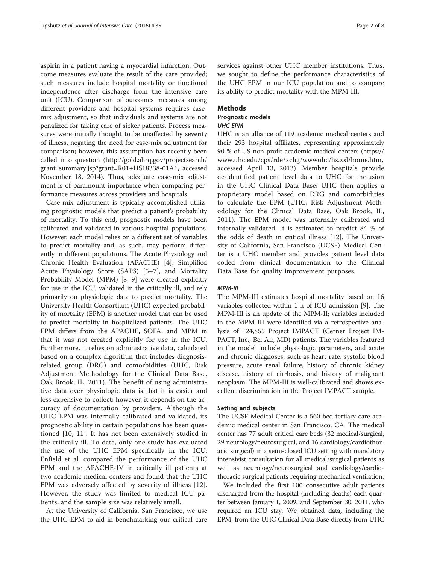aspirin in a patient having a myocardial infarction. Outcome measures evaluate the result of the care provided; such measures include hospital mortality or functional independence after discharge from the intensive care unit (ICU). Comparison of outcomes measures among different providers and hospital systems requires casemix adjustment, so that individuals and systems are not penalized for taking care of sicker patients. Process measures were initially thought to be unaffected by severity of illness, negating the need for case-mix adjustment for comparison; however, this assumption has recently been called into question ([http://gold.ahrq.gov/projectsearch/](http://gold.ahrq.gov/projectsearch/grant_summary.jsp?grant=R01+HS18338-01A1) [grant\\_summary.jsp?grant=R01+HS18338-01A1](http://gold.ahrq.gov/projectsearch/grant_summary.jsp?grant=R01+HS18338-01A1), accessed November 18, 2014). Thus, adequate case-mix adjustment is of paramount importance when comparing performance measures across providers and hospitals.

Case-mix adjustment is typically accomplished utilizing prognostic models that predict a patient's probability of mortality. To this end, prognostic models have been calibrated and validated in various hospital populations. However, each model relies on a different set of variables to predict mortality and, as such, may perform differently in different populations. The Acute Physiology and Chronic Health Evaluation (APACHE) [[4\]](#page-7-0), Simplified Acute Physiology Score (SAPS) [[5](#page-7-0)–[7\]](#page-7-0), and Mortality Probability Model (MPM) [[8, 9](#page-7-0)] were created explicitly for use in the ICU, validated in the critically ill, and rely primarily on physiologic data to predict mortality. The University Health Consortium (UHC) expected probability of mortality (EPM) is another model that can be used to predict mortality in hospitalized patients. The UHC EPM differs from the APACHE, SOFA, and MPM in that it was not created explicitly for use in the ICU. Furthermore, it relies on administrative data, calculated based on a complex algorithm that includes diagnosisrelated group (DRG) and comorbidities (UHC, Risk Adjustment Methodology for the Clinical Data Base, Oak Brook, IL, 2011). The benefit of using administrative data over physiologic data is that it is easier and less expensive to collect; however, it depends on the accuracy of documentation by providers. Although the UHC EPM was internally calibrated and validated, its prognostic ability in certain populations has been questioned [[10, 11](#page-7-0)]. It has not been extensively studied in the critically ill. To date, only one study has evaluated the use of the UHC EPM specifically in the ICU: Enfield et al. compared the performance of the UHC EPM and the APACHE-IV in critically ill patients at two academic medical centers and found that the UHC EPM was adversely affected by severity of illness [[12](#page-7-0)]. However, the study was limited to medical ICU patients, and the sample size was relatively small.

At the University of California, San Francisco, we use the UHC EPM to aid in benchmarking our critical care services against other UHC member institutions. Thus, we sought to define the performance characteristics of the UHC EPM in our ICU population and to compare its ability to predict mortality with the MPM-III.

# Methods

#### Prognostic models UHC EPM

UHC is an alliance of 119 academic medical centers and their 293 hospital affiliates, representing approximately 90 % of US non-profit academic medical centers [\(https://](https://www.uhc.edu/cps/rde/xchg/wwwuhc/hs.xsl/home.htm/) [www.uhc.edu/cps/rde/xchg/wwwuhc/hs.xsl/home.htm](https://www.uhc.edu/cps/rde/xchg/wwwuhc/hs.xsl/home.htm/), accessed April 13, 2013). Member hospitals provide de-identified patient level data to UHC for inclusion in the UHC Clinical Data Base; UHC then applies a proprietary model based on DRG and comorbidities to calculate the EPM (UHC, Risk Adjustment Methodology for the Clinical Data Base, Oak Brook, IL, 2011). The EPM model was internally calibrated and internally validated. It is estimated to predict 84 % of the odds of death in critical illness [[12\]](#page-7-0). The University of California, San Francisco (UCSF) Medical Center is a UHC member and provides patient level data coded from clinical documentation to the Clinical Data Base for quality improvement purposes.

#### MPM-III

The MPM-III estimates hospital mortality based on 16 variables collected within 1 h of ICU admission [[9\]](#page-7-0). The MPM-III is an update of the MPM-II; variables included in the MPM-III were identified via a retrospective analysis of 124,855 Project IMPACT (Cerner Project IM-PACT, Inc., Bel Air, MD) patients. The variables featured in the model include physiologic parameters, and acute and chronic diagnoses, such as heart rate, systolic blood pressure, acute renal failure, history of chronic kidney disease, history of cirrhosis, and history of malignant neoplasm. The MPM-III is well-calibrated and shows excellent discrimination in the Project IMPACT sample.

#### Setting and subjects

The UCSF Medical Center is a 560-bed tertiary care academic medical center in San Francisco, CA. The medical center has 77 adult critical care beds (32 medical/surgical, 29 neurology/neurosurgical, and 16 cardiology/cardiothoracic surgical) in a semi-closed ICU setting with mandatory intensivist consultation for all medical/surgical patients as well as neurology/neurosurgical and cardiology/cardiothoracic surgical patients requiring mechanical ventilation.

We included the first 100 consecutive adult patients discharged from the hospital (including deaths) each quarter between January 1, 2009, and September 30, 2011, who required an ICU stay. We obtained data, including the EPM, from the UHC Clinical Data Base directly from UHC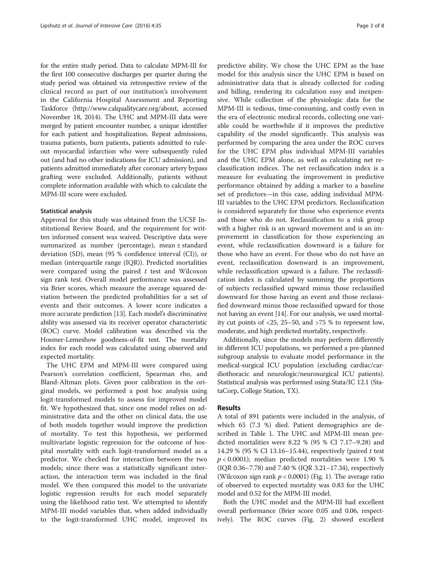for the entire study period. Data to calculate MPM-III for the first 100 consecutive discharges per quarter during the study period was obtained via retrospective review of the clinical record as part of our institution's involvement in the California Hospital Assessment and Reporting Taskforce [\(http://www.calqualitycare.org/about](http://www.calqualitycare.org/about), accessed November 18, 2014). The UHC and MPM-III data were merged by patient encounter number, a unique identifier for each patient and hospitalization. Repeat admissions, trauma patients, burn patients, patients admitted to ruleout myocardial infarction who were subsequently ruled out (and had no other indications for ICU admission), and patients admitted immediately after coronary artery bypass grafting were excluded. Additionally, patients without complete information available with which to calculate the MPM-III score were excluded.

#### Statistical analysis

Approval for this study was obtained from the UCSF Institutional Review Board, and the requirement for written informed consent was waived. Descriptive data were summarized as number (percentage), mean ± standard deviation (SD), mean (95 % confidence interval (CI)), or median (interquartile range (IQR)). Predicted mortalities were compared using the paired  $t$  test and Wilcoxon sign rank test. Overall model performance was assessed via Brier scores, which measure the average squared deviation between the predicted probabilities for a set of events and their outcomes. A lower score indicates a more accurate prediction [[13](#page-7-0)]. Each model's discriminative ability was assessed via its receiver operator characteristic (ROC) curve. Model calibration was described via the Hosmer-Lemeshow goodness-of-fit test. The mortality index for each model was calculated using observed and expected mortality.

The UHC EPM and MPM-III were compared using Pearson's correlation coefficient, Spearman rho, and Bland-Altman plots. Given poor calibration in the original models, we performed a post hoc analysis using logit-transformed models to assess for improved model fit. We hypothesized that, since one model relies on administrative data and the other on clinical data, the use of both models together would improve the prediction of mortality. To test this hypothesis, we performed multivariate logistic regression for the outcome of hospital mortality with each logit-transformed model as a predictor. We checked for interaction between the two models; since there was a statistically significant interaction, the interaction term was included in the final model. We then compared this model to the univariate logistic regression results for each model separately using the likelihood ratio test. We attempted to identify MPM-III model variables that, when added individually to the logit-transformed UHC model, improved its

predictive ability. We chose the UHC EPM as the base model for this analysis since the UHC EPM is based on administrative data that is already collected for coding and billing, rendering its calculation easy and inexpensive. While collection of the physiologic data for the MPM-III is tedious, time-consuming, and costly even in the era of electronic medical records, collecting one variable could be worthwhile if it improves the predictive capability of the model significantly. This analysis was performed by comparing the area under the ROC curves for the UHC EPM plus individual MPM-III variables and the UHC EPM alone, as well as calculating net reclassification indices. The net reclassification index is a measure for evaluating the improvement in predictive performance obtained by adding a marker to a baseline set of predictors—in this case, adding individual MPM-III variables to the UHC EPM predictors. Reclassification is considered separately for those who experience events and those who do not. Reclassification to a risk group with a higher risk is an upward movement and is an improvement in classification for those experiencing an event, while reclassification downward is a failure for those who have an event. For those who do not have an event, reclassification downward is an improvement, while reclassification upward is a failure. The reclassification index is calculated by summing the proportions of subjects reclassified upward minus those reclassified downward for those having an event and those reclassified downward minus those reclassified upward for those not having an event [[14](#page-7-0)]. For our analysis, we used mortality cut points of <25, 25–50, and >75 % to represent low, moderate, and high predicted mortality, respectively.

Additionally, since the models may perform differently in different ICU populations, we performed a pre-planned subgroup analysis to evaluate model performance in the medical-surgical ICU population (excluding cardiac/cardiothoracic and neurologic/neurosurgical ICU patients). Statistical analysis was performed using Stata/IC 12.1 (StataCorp, College Station, TX).

#### Results

A total of 891 patients were included in the analysis, of which 65 (7.3 %) died. Patient demographics are described in Table [1.](#page-3-0) The UHC and MPM-III mean predicted mortalities were 8.22 % (95 % CI 7.17–9.28) and 14.29 % (95 % CI 13.16–15.44), respectively (paired t test  $p < 0.0001$ ); median predicted mortalities were 1.90 % (IQR 0.36–7.78) and 7.40 % (IQR 3.21–17.34), respectively (Wilcoxon sign rank  $p < 0.0001$ ) (Fig. [1\)](#page-3-0). The average ratio of observed to expected mortality was 0.83 for the UHC model and 0.52 for the MPM-III model.

Both the UHC model and the MPM-III had excellent overall performance (Brier score 0.05 and 0.06, respectively). The ROC curves (Fig. [2](#page-3-0)) showed excellent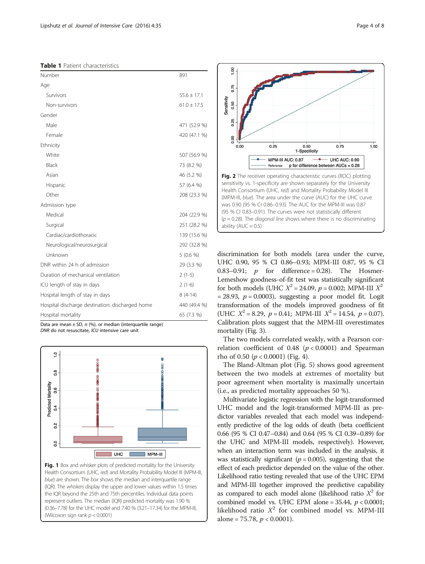<span id="page-3-0"></span>

|  |  | <b>Table 1</b> Patient characteristics |
|--|--|----------------------------------------|
|--|--|----------------------------------------|

| Number                                          | 891             |
|-------------------------------------------------|-----------------|
| Age                                             |                 |
| Survivors                                       | $55.6 \pm 17.1$ |
| Non-survivors                                   | $61.0 \pm 17.5$ |
| Gender                                          |                 |
| Male                                            | 471 (52.9 %)    |
| Female                                          | 420 (47.1 %)    |
| Ethnicity                                       |                 |
| White                                           | 507 (56.9 %)    |
| Black                                           | 73 (8.2 %)      |
| Asian                                           | 46 (5.2 %)      |
| Hispanic                                        | 57 (6.4 %)      |
| Other                                           | 208 (23.3 %)    |
| Admission type                                  |                 |
| Medical                                         | 204 (22.9 %)    |
| Surgical                                        | 251 (28.2 %)    |
| Cardiac/cardiothoracic                          | 139 (15.6 %)    |
| Neurological/neurosurgical                      | 292 (32.8 %)    |
| Unknown                                         | $5(0.6\%)$      |
| DNR within 24 h of admission                    | 29 (3.3 %)      |
| Duration of mechanical ventilation              | $2(1-5)$        |
| ICU length of stay in days                      | $2(1-6)$        |
| Hospital length of stay in days                 | $8(4-14)$       |
| Hospital discharge destination: discharged home | 440 (49.4 %)    |
| Hospital mortality                              | 65 (7.3 %)      |

Data are mean  $\pm$  SD, n (%), or median (interquartile range)

DNR do not resuscitate, ICU intensive care unit



Fig. 1 Box and whisker plots of predicted mortality for the University Health Consortium (UHC, red) and Mortality Probability Model III (MPM-III, blue) are shown. The box shows the median and interquartile range (IQR). The whiskers display the upper and lower values within 1.5 times the IQR beyond the 25th and 75th percentiles. Individual data points represent outliers. The median (IQR) predicted mortality was 1.90 % (0.36–7.78) for the UHC model and 7.40 % (3.21–17.34) for the MPM-III, (Wilcoxon sign rank  $p < 0.0001$ )



discrimination for both models (area under the curve, UHC 0.90, 95 % CI 0.86–0.93; MPM-III 0.87, 95 % CI 0.83–0.91;  $p$  for difference = 0.28). The Hosmer-Lemeshow goodness-of-fit test was statistically significant for both models (UHC  $X^2 = 24.09$ ,  $p = 0.002$ ; MPM-III  $X^2$  $= 28.93$ ,  $p = 0.0003$ ), suggesting a poor model fit. Logit transformation of the models improved goodness of fit (UHC  $X^2 = 8.29$ ,  $p = 0.41$ ; MPM-III  $X^2 = 14.54$ ,  $p = 0.07$ ). Calibration plots suggest that the MPM-III overestimates mortality (Fig. [3](#page-4-0)).

ability  $(AUC = 0.5)$ 

The two models correlated weakly, with a Pearson correlation coefficient of 0.48 ( $p < 0.0001$ ) and Spearman rho of 0.50 ( $p < 0.0001$ ) (Fig. [4](#page-4-0)).

The Bland-Altman plot (Fig. [5](#page-4-0)) shows good agreement between the two models at extremes of mortality but poor agreement when mortality is maximally uncertain (i.e., as predicted mortality approaches 50 %).

Multivariate logistic regression with the logit-transformed UHC model and the logit-transformed MPM-III as predictor variables revealed that each model was independently predictive of the log odds of death (beta coefficient 0.66 (95 % CI 0.47–0.84) and 0.64 (95 % CI 0.39–0.89) for the UHC and MPM-III models, respectively). However, when an interaction term was included in the analysis, it was statistically significant ( $p = 0.005$ ), suggesting that the effect of each predictor depended on the value of the other. Likelihood ratio testing revealed that use of the UHC EPM and MPM-III together improved the predictive capability as compared to each model alone (likelihood ratio  $X^2$  for combined model vs. UHC EPM alone =  $35.44$ ,  $p < 0.0001$ ; likelihood ratio  $X^2$  for combined model vs. MPM-III alone = 75.78,  $p < 0.0001$ ).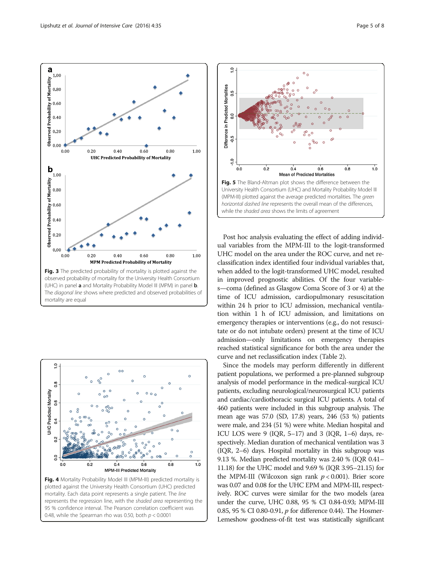$0.20$ 

 $0.20$ 

 $0.40$ 

**UHC Predicted Probability of Mortality** 

 $0.60$ 

0.60

 $0.80$ 

 $0.80$ 

 $1.00$ 

 $1.00$ 

<span id="page-4-0"></span>a

Observed Probability of Mortality

100

 $0.80$ 

 $0.60$ 

 $0.40$  $0.20$ 

 $0.00$  $0.00$ 

 $1.00$ 

 $0.80$ 

 $0.60$ 

 $0.40$ 

 $0.20$ 

 $0.00$  $0.00$ 

 $\mathbf b$ 

**Observed Probability of Mortality** 

Fig. 3 The predicted probability of mortality is plotted against the observed probability of mortality for the University Health Consortium (UHC) in panel **a** and Mortality Probability Model III (MPM) in panel **b**. The diagonal line shows where predicted and observed probabilities of mortality are equal

**MPM Predicted Probability of Mortality** 

 $0.40$ 





Post hoc analysis evaluating the effect of adding individual variables from the MPM-III to the logit-transformed UHC model on the area under the ROC curve, and net reclassification index identified four individual variables that, when added to the logit-transformed UHC model, resulted in improved prognostic abilities. Of the four variables—coma (defined as Glasgow Coma Score of 3 or 4) at the time of ICU admission, cardiopulmonary resuscitation within 24 h prior to ICU admission, mechanical ventilation within 1 h of ICU admission, and limitations on emergency therapies or interventions (e.g., do not resuscitate or do not intubate orders) present at the time of ICU admission—only limitations on emergency therapies reached statistical significance for both the area under the curve and net reclassification index (Table [2](#page-5-0)).

Since the models may perform differently in different patient populations, we performed a pre-planned subgroup analysis of model performance in the medical-surgical ICU patients, excluding neurological/neurosurgical ICU patients and cardiac/cardiothoracic surgical ICU patients. A total of 460 patients were included in this subgroup analysis. The mean age was 57.0 (SD, 17.8) years, 246 (53 %) patients were male, and 234 (51 %) were white. Median hospital and ICU LOS were 9 (IQR,  $5-17$ ) and 3 (IQR,  $1-6$ ) days, respectively. Median duration of mechanical ventilation was 3 (IQR, 2–6) days. Hospital mortality in this subgroup was 9.13 %. Median predicted mortality was 2.40 % (IQR 0.41– 11.18) for the UHC model and 9.69 % (IQR 3.95–21.15) for the MPM-III (Wilcoxon sign rank  $p < 0.001$ ). Brier score was 0.07 and 0.08 for the UHC EPM and MPM-III, respectively. ROC curves were similar for the two models (area under the curve, UHC 0.88, 95 % CI 0.84-0.93; MPM-III 0.85, 95 % CI 0.80-0.91, p for difference 0.44). The Hosmer-Lemeshow goodness-of-fit test was statistically significant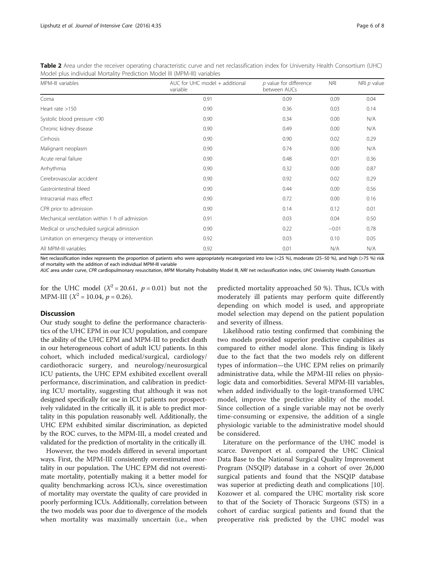| MPM-III variables                              | AUC for UHC model + additional<br>variable | $p$ value for difference<br>between AUCs | <b>NRI</b> | NRI $p$ value |
|------------------------------------------------|--------------------------------------------|------------------------------------------|------------|---------------|
| Coma                                           | 0.91                                       | 0.09                                     | 0.09       | 0.04          |
| Heart rate $>150$                              | 0.90                                       | 0.36                                     | 0.03       | 0.14          |
| Systolic blood pressure <90                    | 0.90                                       | 0.34                                     | 0.00       | N/A           |
| Chronic kidney disease                         | 0.90                                       | 0.49                                     | 0.00       | N/A           |
| Cirrhosis                                      | 0.90                                       | 0.90                                     | 0.02       | 0.29          |
| Malignant neoplasm                             | 0.90                                       | 0.74                                     | 0.00       | N/A           |
| Acute renal failure                            | 0.90                                       | 0.48                                     | 0.01       | 0.36          |
| Arrhythmia                                     | 0.90                                       | 0.32                                     | 0.00       | 0.87          |
| Cerebrovascular accident                       | 0.90                                       | 0.92                                     | 0.02       | 0.29          |
| Gastrointestinal bleed                         | 0.90                                       | 0.44                                     | 0.00       | 0.56          |
| Intracranial mass effect                       | 0.90                                       | 0.72                                     | 0.00       | 0.16          |
| CPR prior to admission                         | 0.90                                       | 0.14                                     | 0.12       | 0.01          |
| Mechanical ventilation within 1 h of admission | 0.91                                       | 0.03                                     | 0.04       | 0.50          |

<span id="page-5-0"></span>Table 2 Area under the receiver operating characteristic curve and net reclassification index for University Health Consortium (UHC) Model plus individual Mortality Prediction Model III (MPM-III) variables

Net reclassification index represents the proportion of patients who were appropriately recategorized into low (<25 %), moderate (25-50 %), and high (>75 %) risk of mortality with the addition of each individual MPM-III variable

AUC area under curve, CPR cardiopulmonary resuscitation, MPM Mortality Probability Model III, NRI net reclassification index, UHC University Health Consortium

Medical or unscheduled surgical admission 0.90 0.22 −0.01 0.78 Limitation on emergency therapy or intervention  $0.92$  0.03 0.10 0.05 0.10 0.05 All MPM-III variables 0.92 0.01 N/A N/A

for the UHC model  $(X^2 = 20.61, p = 0.01)$  but not the MPM-III  $(X^2 = 10.04, p = 0.26)$ .

#### **Discussion**

Our study sought to define the performance characteristics of the UHC EPM in our ICU population, and compare the ability of the UHC EPM and MPM-III to predict death in our heterogeneous cohort of adult ICU patients. In this cohort, which included medical/surgical, cardiology/ cardiothoracic surgery, and neurology/neurosurgical ICU patients, the UHC EPM exhibited excellent overall performance, discrimination, and calibration in predicting ICU mortality, suggesting that although it was not designed specifically for use in ICU patients nor prospectively validated in the critically ill, it is able to predict mortality in this population reasonably well. Additionally, the UHC EPM exhibited similar discrimination, as depicted by the ROC curves, to the MPM-III, a model created and validated for the prediction of mortality in the critically ill.

However, the two models differed in several important ways. First, the MPM-III consistently overestimated mortality in our population. The UHC EPM did not overestimate mortality, potentially making it a better model for quality benchmarking across ICUs, since overestimation of mortality may overstate the quality of care provided in poorly performing ICUs. Additionally, correlation between the two models was poor due to divergence of the models when mortality was maximally uncertain (i.e., when predicted mortality approached 50 %). Thus, ICUs with moderately ill patients may perform quite differently depending on which model is used, and appropriate model selection may depend on the patient population and severity of illness.

Likelihood ratio testing confirmed that combining the two models provided superior predictive capabilities as compared to either model alone. This finding is likely due to the fact that the two models rely on different types of information—the UHC EPM relies on primarily administrative data, while the MPM-III relies on physiologic data and comorbidities. Several MPM-III variables, when added individually to the logit-transformed UHC model, improve the predictive ability of the model. Since collection of a single variable may not be overly time-consuming or expensive, the addition of a single physiologic variable to the administrative model should be considered.

Literature on the performance of the UHC model is scarce. Davenport et al. compared the UHC Clinical Data Base to the National Surgical Quality Improvement Program (NSQIP) database in a cohort of over 26,000 surgical patients and found that the NSQIP database was superior at predicting death and complications [\[10](#page-7-0)]. Kozower et al. compared the UHC mortality risk score to that of the Society of Thoracic Surgeons (STS) in a cohort of cardiac surgical patients and found that the preoperative risk predicted by the UHC model was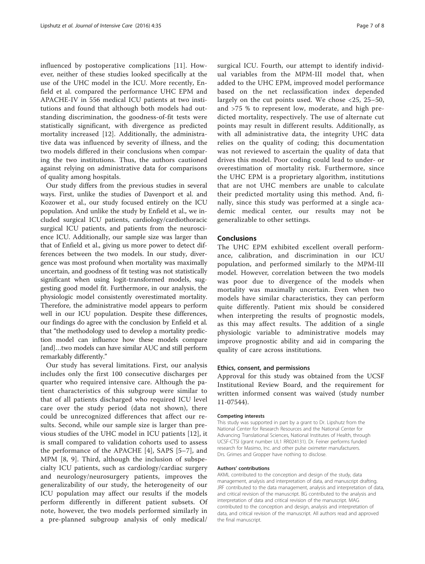influenced by postoperative complications [[11\]](#page-7-0). However, neither of these studies looked specifically at the use of the UHC model in the ICU. More recently, Enfield et al. compared the performance UHC EPM and APACHE-IV in 556 medical ICU patients at two institutions and found that although both models had outstanding discrimination, the goodness-of-fit tests were statistically significant, with divergence as predicted mortality increased [[12\]](#page-7-0). Additionally, the administrative data was influenced by severity of illness, and the two models differed in their conclusions when comparing the two institutions. Thus, the authors cautioned against relying on administrative data for comparisons of quality among hospitals.

Our study differs from the previous studies in several ways. First, unlike the studies of Davenport et al. and Kozower et al., our study focused entirely on the ICU population. And unlike the study by Enfield et al., we included surgical ICU patients, cardiology/cardiothoracic surgical ICU patients, and patients from the neuroscience ICU. Additionally, our sample size was larger than that of Enfield et al., giving us more power to detect differences between the two models. In our study, divergence was most profound when mortality was maximally uncertain, and goodness of fit testing was not statistically significant when using logit-transformed models, suggesting good model fit. Furthermore, in our analysis, the physiologic model consistently overestimated mortality. Therefore, the administrative model appears to perform well in our ICU population. Despite these differences, our findings do agree with the conclusion by Enfield et al. that "the methodology used to develop a mortality prediction model can influence how these models compare [and]…two models can have similar AUC and still perform remarkably differently."

Our study has several limitations. First, our analysis includes only the first 100 consecutive discharges per quarter who required intensive care. Although the patient characteristics of this subgroup were similar to that of all patients discharged who required ICU level care over the study period (data not shown), there could be unrecognized differences that affect our results. Second, while our sample size is larger than previous studies of the UHC model in ICU patients [[12](#page-7-0)], it is small compared to validation cohorts used to assess the performance of the APACHE [[4\]](#page-7-0), SAPS [[5](#page-7-0)–[7](#page-7-0)], and MPM [\[8](#page-7-0), [9\]](#page-7-0). Third, although the inclusion of subspecialty ICU patients, such as cardiology/cardiac surgery and neurology/neurosurgery patients, improves the generalizability of our study, the heterogeneity of our ICU population may affect our results if the models perform differently in different patient subsets. Of note, however, the two models performed similarly in a pre-planned subgroup analysis of only medical/

surgical ICU. Fourth, our attempt to identify individual variables from the MPM-III model that, when added to the UHC EPM, improved model performance based on the net reclassification index depended largely on the cut points used. We chose <25, 25–50, and >75 % to represent low, moderate, and high predicted mortality, respectively. The use of alternate cut points may result in different results. Additionally, as with all administrative data, the integrity UHC data relies on the quality of coding; this documentation was not reviewed to ascertain the quality of data that drives this model. Poor coding could lead to under- or overestimation of mortality risk. Furthermore, since the UHC EPM is a proprietary algorithm, institutions that are not UHC members are unable to calculate their predicted mortality using this method. And, finally, since this study was performed at a single academic medical center, our results may not be generalizable to other settings.

#### Conclusions

The UHC EPM exhibited excellent overall performance, calibration, and discrimination in our ICU population, and performed similarly to the MPM-III model. However, correlation between the two models was poor due to divergence of the models when mortality was maximally uncertain. Even when two models have similar characteristics, they can perform quite differently. Patient mix should be considered when interpreting the results of prognostic models, as this may affect results. The addition of a single physiologic variable to administrative models may improve prognostic ability and aid in comparing the quality of care across institutions.

#### Ethics, consent, and permissions

Approval for this study was obtained from the UCSF Institutional Review Board, and the requirement for written informed consent was waived (study number 11-07544).

#### Competing interests

This study was supported in part by a grant to Dr. Lipshutz from the National Center for Research Resources and the National Center for Advancing Translational Sciences, National Institutes of Health, through UCSF-CTSI (grant number UL1 RR024131). Dr. Feiner performs funded research for Masimo, Inc. and other pulse oximeter manufacturers. Drs. Grimes and Gropper have nothing to disclose.

#### Authors' contributions

AKML contributed to the conception and design of the study, data management, analysis and interpretation of data, and manuscript drafting. JRF contributed to the data management, analysis and interpretation of data, and critical revision of the manuscript. BG contributed to the analysis and interpretation of data and critical revision of the manuscript. MAG contributed to the conception and design, analysis and interpretation of data, and critical revision of the manuscript. All authors read and approved the final manuscript.